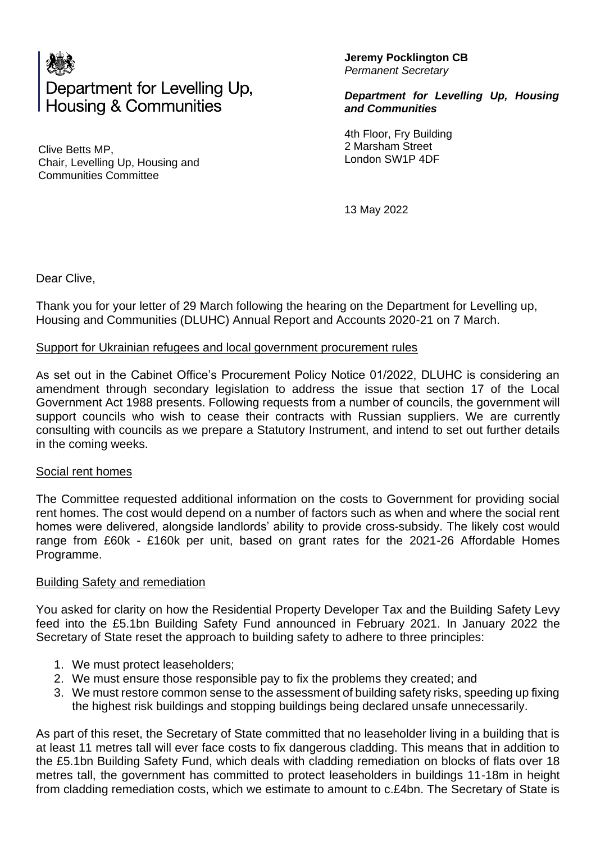

# Department for Levelling Up, **Housing & Communities**

Clive Betts MP, Chair, Levelling Up, Housing and Communities Committee

**Jeremy Pocklington CB**  *Permanent Secretary* 

#### *Department for Levelling Up, Housing and Communities*

4th Floor, Fry Building 2 Marsham Street London SW1P 4DF

13 Ma[y 2022](mailto:PSPerm.Sec@levellingup.gov.uk) 

Dear Clive,

Thank you for your letter of 29 March following the hearing on the Department for Levelling up, Housing and Communities (DLUHC) Annual Report and Accounts 2020-21 on 7 March.

## Support for Ukrainian refugees and local government procurement rules

As set out in the Cabinet Office's Procurement Policy Notice 01/2022, DLUHC is considering an amendment through secondary legislation to address the issue that section 17 of the Local Government Act 1988 presents. Following requests from a number of councils, the government will support councils who wish to cease their contracts with Russian suppliers. We are currently consulting with councils as we prepare a Statutory Instrument, and intend to set out further details in the coming weeks.

## Social rent homes

The Committee requested additional information on the costs to Government for providing social rent homes. The cost would depend on a number of factors such as when and where the social rent homes were delivered, alongside landlords' ability to provide cross-subsidy. The likely cost would range from £60k - £160k per unit, based on grant rates for the 2021-26 Affordable Homes Programme.

## Building Safety and remediation

You asked for clarity on how the Residential Property Developer Tax and the Building Safety Levy feed into the £5.1bn Building Safety Fund announced in February 2021. In January 2022 the Secretary of State reset the approach to building safety to adhere to three principles:

- 1. We must protect leaseholders;
- 2. We must ensure those responsible pay to fix the problems they created; and
- 3. We must restore common sense to the assessment of building safety risks, speeding up fixing the highest risk buildings and stopping buildings being declared unsafe unnecessarily.

As part of this reset, the Secretary of State committed that no leaseholder living in a building that is at least 11 metres tall will ever face costs to fix dangerous cladding. This means that in addition to the £5.1bn Building Safety Fund, which deals with cladding remediation on blocks of flats over 18 metres tall, the government has committed to protect leaseholders in buildings 11-18m in height from cladding remediation costs, which we estimate to amount to c.£4bn. The Secretary of State is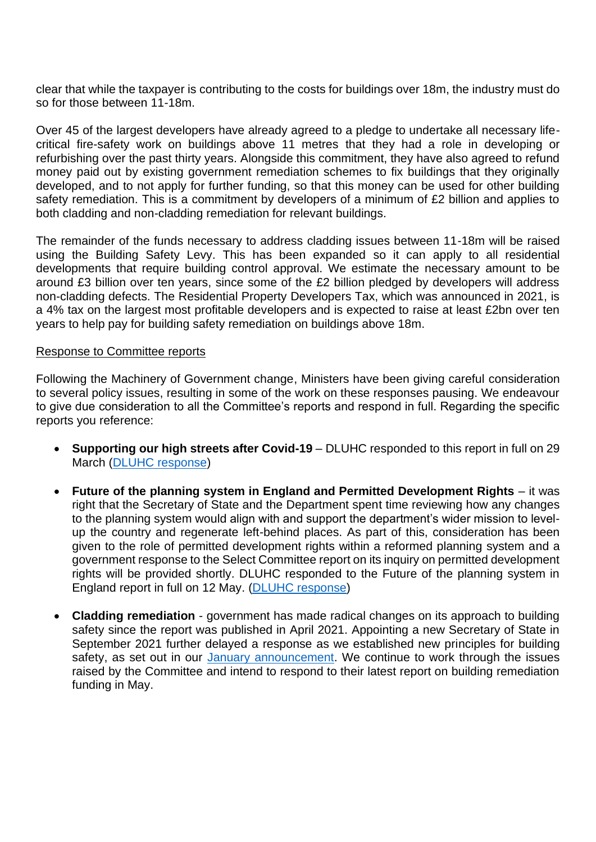clear that while the taxpayer is contributing to the costs for buildings over 18m, the industry must do so for those between 11-18m.

Over 45 of the largest developers have already agreed to a pledge to undertake all necessary lifecritical fire-safety work on buildings above 11 metres that they had a role in developing or refurbishing over the past thirty years. Alongside this commitment, they have also agreed to refund money paid out by existing government remediation schemes to fix buildings that they originally developed, and to not apply for further funding, so that this money can be used for other building safety remediation. This is a commitment by developers of a minimum of £2 billion and applies to both cladding and non-cladding remediation for relevant buildings.

The remainder of the funds necessary to address cladding issues between 11-18m will be raised using the Building Safety Levy. This has been expanded so it can apply to all residential developments that require building control approval. We estimate the necessary amount to be around £3 billion over ten years, since some of the £2 billion pledged by developers will address non-cladding defects. The Residential Property Developers Tax, which was announced in 2021, is a 4% tax on the largest most profitable developers and is expected to raise at least £2bn over ten years to help pay for building safety remediation on buildings above 18m.

#### Response to Committee reports

Following the Machinery of Government change, Ministers have been giving careful consideration to several policy issues, resulting in some of the work on these responses pausing. We endeavour to give due consideration to all the Committee's reports and respond in full. Regarding the specific reports you reference:

- **Supporting our high streets after Covid-19** DLUHC responded to this report in full on 29 March [\(DLUHC response\)](https://gbr01.safelinks.protection.outlook.com/?url=https%3A%2F%2Fcommittees.parliament.uk%2Fpublications%2F9488%2Fdocuments%2F161638%2Fdefault%2F&data=05%7C01%7Cjenny.luckett%40levellingup.gov.uk%7C341967c3412a43d9b05f08da34d39015%7Cbf3468109c7d43dea87224a2ef3995a8%7C0%7C0%7C637880380496785230%7CUnknown%7CTWFpbGZsb3d8eyJWIjoiMC4wLjAwMDAiLCJQIjoiV2luMzIiLCJBTiI6Ik1haWwiLCJXVCI6Mn0%3D%7C3000%7C%7C%7C&sdata=LX98IptJXihBD8rQhAH6NflNq%2Bz9NNtSMMNHL2EMQ%2BY%3D&reserved=0)
- **Future of the planning system in England and Permitted Development Rights** it was right that the Secretary of State and the Department spent time reviewing how any changes to the planning system would align with and support the department's wider mission to levelup the country and regenerate left-behind places. As part of this, consideration has been given to the role of permitted development rights within a reformed planning system and a government response to the Select Committee report on its inquiry on permitted development rights will be provided shortly. DLUHC responded to the Future of the planning system in England report in full on 12 May. [\(DLUHC response\)](https://gbr01.safelinks.protection.outlook.com/?url=https%3A%2F%2Fwww.gov.uk%2Fgovernment%2Fpublications%2Ffuture-of-the-planning-system-in-england-government-response-to-the-select-committee-report&data=05%7C01%7Cjenny.luckett%40levellingup.gov.uk%7C341967c3412a43d9b05f08da34d39015%7Cbf3468109c7d43dea87224a2ef3995a8%7C0%7C0%7C637880380496785230%7CUnknown%7CTWFpbGZsb3d8eyJWIjoiMC4wLjAwMDAiLCJQIjoiV2luMzIiLCJBTiI6Ik1haWwiLCJXVCI6Mn0%3D%7C3000%7C%7C%7C&sdata=CFB5N1pMZu4XwklpUR9EnVALHFKQmWi3jL%2B3WK%2F6s9w%3D&reserved=0)
- **Cladding remediation**  government has made radical changes on its approach to building safety since the report was published in April 2021. Appointing a new Secretary of State in September 2021 further delayed a response as we established new principles for building safety, as set out in our [January announcement.](https://gbr01.safelinks.protection.outlook.com/?url=https%3A%2F%2Fwww.gov.uk%2Fgovernment%2Fnews%2Fgovernment-sets-out-new-plan-to-protect-leaseholders-and-make-industry-pay-for-the-cladding-crisis&data=05%7C01%7Cjenny.luckett%40levellingup.gov.uk%7C341967c3412a43d9b05f08da34d39015%7Cbf3468109c7d43dea87224a2ef3995a8%7C0%7C0%7C637880380496785230%7CUnknown%7CTWFpbGZsb3d8eyJWIjoiMC4wLjAwMDAiLCJQIjoiV2luMzIiLCJBTiI6Ik1haWwiLCJXVCI6Mn0%3D%7C3000%7C%7C%7C&sdata=UJzXPAlnZiETirUjf0h%2BcReacr6bwQBTjmgBjXeB%2Fw4%3D&reserved=0) We continue to work through the issues raised by the Committee and intend to respond to their latest report on building remediation funding in May.